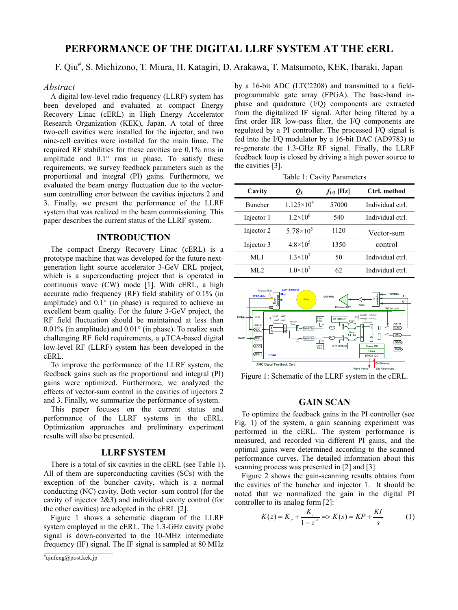# **PERFORMANCE OF THE DIGITAL LLRF SYSTEM AT THE cERL**

F. Qiu<sup>#</sup>, S. Michizono, T. Miura, H. Katagiri, D. Arakawa, T. Matsumoto, KEK, Ibaraki, Japan

#### *Abstract*

A digital low-level radio frequency (LLRF) system has been developed and evaluated at compact Energy Recovery Linac (cERL) in High Energy Accelerator Research Organization (KEK), Japan. A total of three two-cell cavities were installed for the injector, and two nine-cell cavities were installed for the main linac. The required RF stabilities for these cavities are 0.1% rms in amplitude and 0.1° rms in phase. To satisfy these requirements, we survey feedback parameters such as the proportional and integral (PI) gains. Furthermore, we evaluated the beam energy fluctuation due to the vectorsum controlling error between the cavities injectors 2 and 3. Finally, we present the performance of the LLRF system that was realized in the beam commissioning. This paper describes the current status of the LLRF system.

# **INTRODUCTION**

The compact Energy Recovery Linac (cERL) is a prototype machine that was developed for the future nextgeneration light source accelerator 3-GeV ERL project, which is a superconducting project that is operated in continuous wave (CW) mode [1]. With cERL, a high accurate radio frequency (RF) field stability of 0.1% (in amplitude) and 0.1° (in phase) is required to achieve an excellent beam quality. For the future 3-GeV project, the RF field fluctuation should be maintained at less than 0.01% (in amplitude) and 0.01° (in phase). To realize such challenging RF field requirements, a μTCA-based digital low-level RF (LLRF) system has been developed in the cERL.

To improve the performance of the LLRF system, the feedback gains such as the proportional and integral (PI) gains were optimized. Furthermore, we analyzed the effects of vector-sum control in the cavities of injectors 2 and 3. Finally, we summarize the performance of system.

This paper focuses on the current status and performance of the LLRF systems in the cERL. Optimization approaches and preliminary experiment results will also be presented.

### **LLRF SYSTEM**

There is a total of six cavities in the cERL (see Table 1). All of them are superconducting cavities (SCs) with the exception of the buncher cavity, which is a normal conducting (NC) cavity. Both vector -sum control (for the cavity of injector 2&3) and individual cavity control (for the other cavities) are adopted in the cERL [2].

Figure 1 shows a schematic diagram of the LLRF system employed in the cERL. The 1.3-GHz cavity probe signal is down-converted to the 10-MHz intermediate frequency (IF) signal. The IF signal is sampled at 80 MHz by a 16-bit ADC (LTC2208) and transmitted to a fieldprogrammable gate array (FPGA). The base-band inphase and quadrature (I/Q) components are extracted from the digitalized IF signal. After being filtered by a first order IIR low-pass filter, the I/Q components are regulated by a PI controller. The processed I/Q signal is fed into the I/Q modulator by a 16-bit DAC (AD9783) to re-generate the 1.3-GHz RF signal. Finally, the LLRF feedback loop is closed by driving a high power source to the cavities [3].

Table 1: Cavity Parameters

| Cavity         | $\varrho_{\scriptscriptstyle L}$ | $f_{1/2}$ [Hz] | Ctrl. method     |
|----------------|----------------------------------|----------------|------------------|
| <b>Buncher</b> | $1.125 \times 10^4$              | 57000          | Individual ctrl. |
| Injector 1     | $1.2 \times 10^{6}$              | 540            | Individual ctrl. |
| Injector 2     | 5.78 $\times$ 10 <sup>5</sup>    | 1120           | Vector-sum       |
| Injector 3     | $4.8 \times 10^{5}$              | 1350           | control          |
| ML1            | $1.3 \times 10^{7}$              | 50             | Individual ctrl. |
| ML 2           | $1.0\times10^{7}$                | 62             | Individual ctrl. |



Figure 1: Schematic of the LLRF system in the cERL.

# **GAIN SCAN**

To optimize the feedback gains in the PI controller (see Fig. 1) of the system, a gain scanning experiment was performed in the cERL. The system performance is measured, and recorded via different PI gains, and the optimal gains were determined according to the scanned performance curves. The detailed information about this scanning process was presented in [2] and [3].

Figure 2 shows the gain-scanning results obtains from the cavities of the buncher and injector 1. It should be noted that we normalized the gain in the digital PI controller to its analog form [2]:

$$
K(z) = K_{P} + \frac{K_{P}}{1 - z^{-1}} \Rightarrow K(s) = KP + \frac{KI}{s}
$$
 (1)

 $*$ qiufeng@post.kek.jp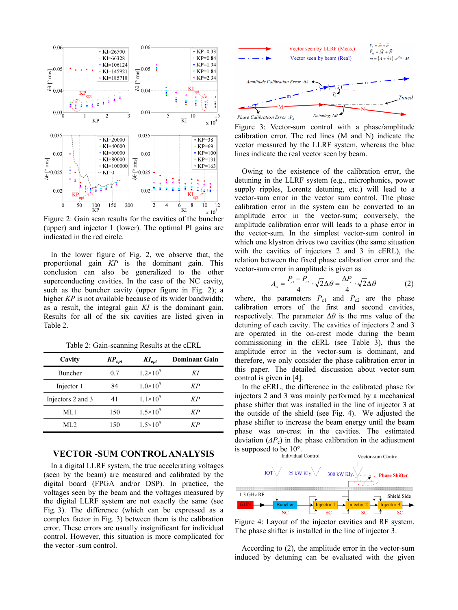

Figure 2: Gain scan results for the cavities of the buncher (upper) and injector 1 (lower). The optimal PI gains are indicated in the red circle.

In the lower figure of Fig. 2, we observe that, the proportional gain *KP* is the dominant gain. This conclusion can also be generalized to the other superconducting cavities. In the case of the NC cavity, such as the buncher cavity (upper figure in Fig. 2); a higher *KP* is not available because of its wider bandwidth; as a result, the integral gain *KI* is the dominant gain. Results for all of the six cavities are listed given in Table 2.

Table 2: Gain-scanning Results at the cERL

| Cavity            | $\mathbf{KP}_{opt}$ | $KI_{opt}$          | <b>Dominant Gain</b> |
|-------------------|---------------------|---------------------|----------------------|
| <b>Buncher</b>    | 0.7                 | $1.2 \times 10^5$   | KI                   |
| Injector 1        | 84                  | $1.0\times10^{5}$   | KP                   |
| Injectors 2 and 3 | 41                  | $1.1 \times 10^5$   | KP                   |
| ML1               | 150                 | $1.5 \times 10^{5}$ | KP                   |
| ML 2.             | 150                 | $1.5 \times 10^5$   | KР                   |

# **VECTOR -SUM CONTROL ANALYSIS**

In a digital LLRF system, the true accelerating voltages (seen by the beam) are measured and calibrated by the digital board (FPGA and/or DSP). In practice, the voltages seen by the beam and the voltages measured by the digital LLRF system are not exactly the same (see Fig. 3). The difference (which can be expressed as a complex factor in Fig. 3) between them is the calibration error. These errors are usually insignificant for individual control. However, this situation is more complicated for the vector -sum control.



Figure 3: Vector-sum control with a phase/amplitude calibration error. The red lines (M and N) indicate the vector measured by the LLRF system, whereas the blue lines indicate the real vector seen by beam.

Owing to the existence of the calibration error, the detuning in the LLRF system (e.g., microphonics, power supply ripples, Lorentz detuning, etc.) will lead to a vector-sum error in the vector sum control. The phase calibration error in the system can be converted to an amplitude error in the vector-sum; conversely, the amplitude calibration error will leads to a phase error in the vector-sum. In the simplest vector-sum control in which one klystron drives two cavities (the same situation with the cavities of injectors 2 and 3 in cERL), the relation between the fixed phase calibration error and the vector-sum error in amplitude is given as

$$
A_{\rm ss} = \frac{P_{\rm cl} - P_{\rm c2}}{4} \cdot \sqrt{2} \Delta \theta = \frac{\Delta P_{\rm c}}{4} \cdot \sqrt{2} \Delta \theta \tag{2}
$$

where, the parameters  $P_{c1}$  and  $P_{c2}$  are the phase calibration errors of the first and second cavities, respectively. The parameter  $\Delta\theta$  is the rms value of the detuning of each cavity. The cavities of injectors 2 and 3 are operated in the on-crest mode during the beam commissioning in the cERL (see Table 3), thus the amplitude error in the vector-sum is dominant, and therefore, we only consider the phase calibration error in this paper. The detailed discussion about vector-sum control is given in [4].

In the cERL, the difference in the calibrated phase for injectors 2 and 3 was mainly performed by a mechanical phase shifter that was installed in the line of injector 3 at the outside of the shield (see Fig. 4). We adjusted the phase shifter to increase the beam energy until the beam phase was on-crest in the cavities. The estimated deviation  $(\Delta P_c)$  in the phase calibration in the adjustment is supposed to be  $10^{\circ}$ .<br>Individual Control



Figure 4: Layout of the injector cavities and RF system. The phase shifter is installed in the line of injector 3.

According to (2), the amplitude error in the vector-sum induced by detuning can be evaluated with the given